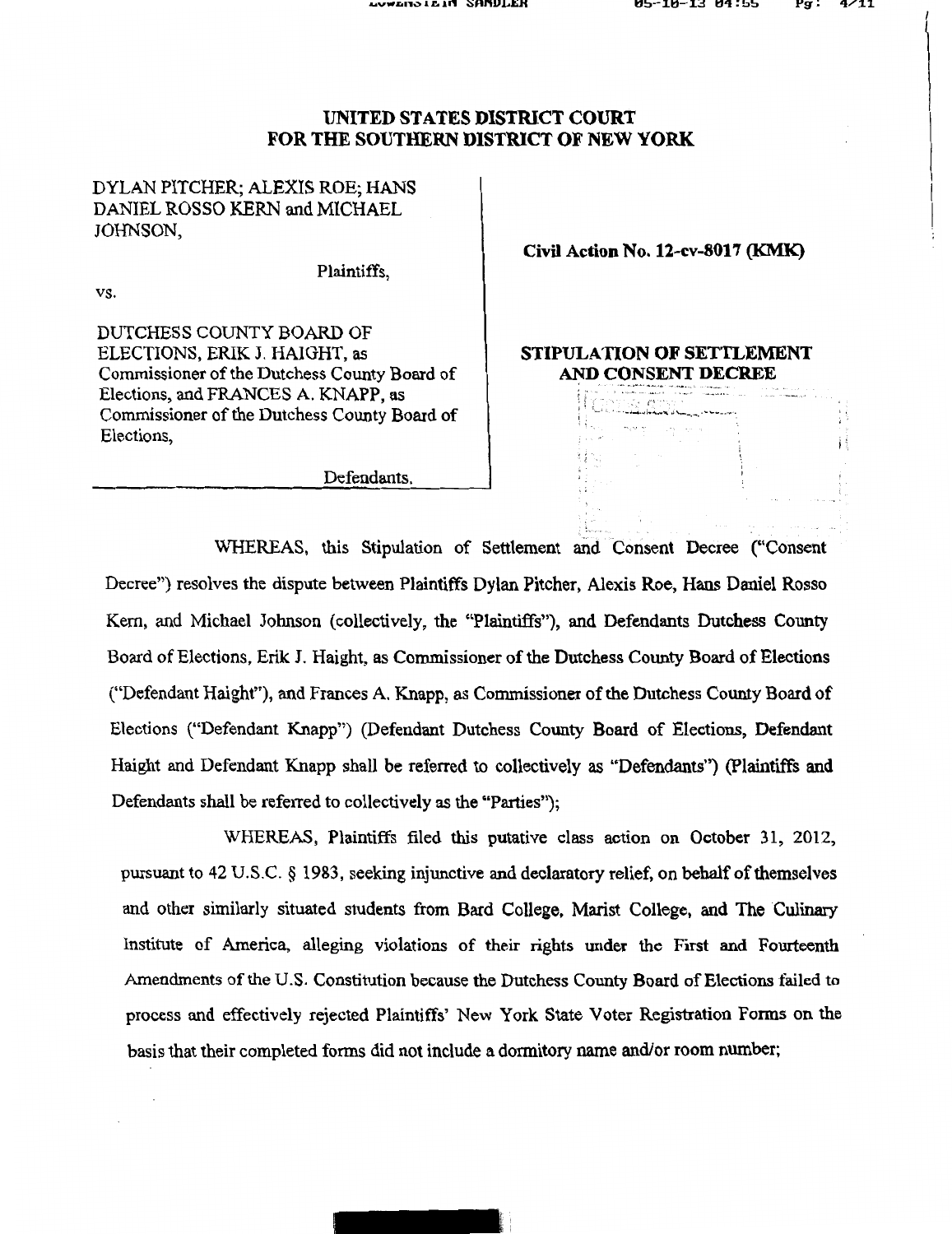Ħ Ĥ

## UNITED STATES DISTRICT COURT FOR THE SOUTHERN DISTRICT OF NEW YORK

DYLAN PITCHER; ALEXIS ROE; HANS DANIEL ROSSO KERN and MICHAEL JOHNSON,

vs.

Plaintiffs,

Civil Action No. 12-cv-8017 (KMK)

DUTCHESS COUNTY BOARD OF ELECTIONS, ERIK J. HAIGHT, as Commissioner of the Dutchess County Board of Elections, and FRANCES A. KNAPP, as Commissioner of the Dutchess County Board of Elections,

STIPULATION OF SETTLEMENT AND CONSENT DECREE ~· - ~·-·· ... ~< ,... " ......... - ·-~- "

~ ~ ( • \ > < • • > ·.~· *r* ·~~-~ .. ,

<sup>I</sup>' 1 ··~·' '" ·-J~ ... ).,"·"" .1'\.,\_ \_\_ ,.,''""""'-·'"''•

转向

Defendants.

WHEREAS, this Stipulation of Settlement and Consent Decree ("Consent Decree") resolves the dispute between Plaintiffs Dylan Pitcher, Alexis Roe, Hans Daniel Rosso Kern, and Michael Johnson (collectively, the "Plaintiffs"), and Defendants Dutchess County Board of Elections, Erik J. Haight, as Commissioner of the Dutchess County Board of Elections ("Defendant Haight"), and Frances A. Knapp, as Commissioner of the Dutchess County Board of Elections ("Defendant Knapp'') (Defendant Dutchess County Board of Elections, Defendant Haight and Defendant Knapp shall be referred to collectively as "Defendants") (Plaintiffs and Defendants shall be referred to collectively as the "Parties");

WHEREAS, Plaintiffs filed this putative class action on October 31, 2012, pursuant to 42 U.S.C. § 1983, seeking injunctive and declaratory relief, on behalf of themselves and other similarly situated students from Bard College, Marist College, and The Culinary Institute of America, alleging violations of their rights under the First and Fourteenth Amendments of the U.S. Constitution because the Dutchess County Board of Elections failed to process and effectively rejected Plaintiffs' New York State Voter Registration Forms on the basis that their completed forms did not include a dormitory name and/or room number;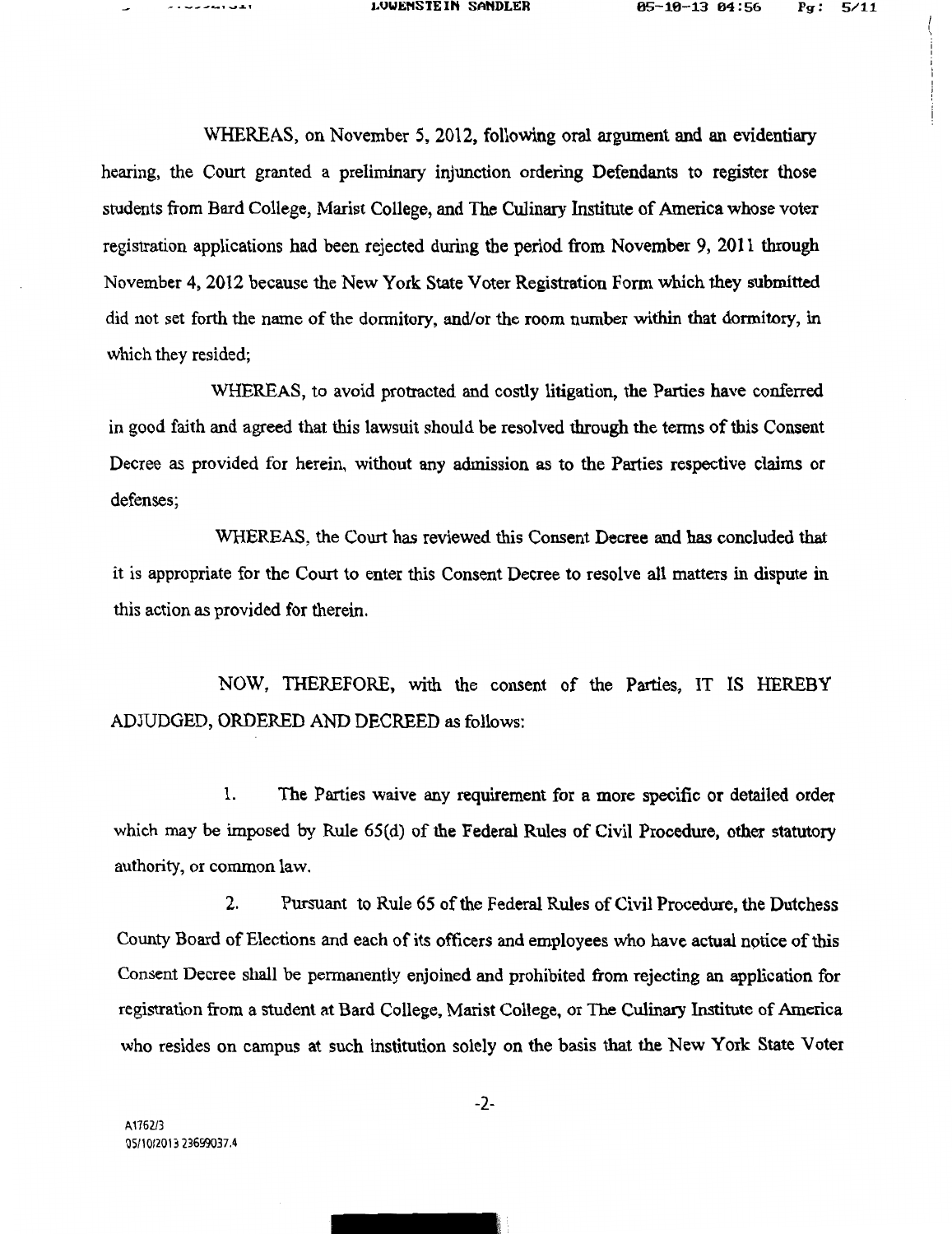WHEREAS, on November 5, 2012, following oral argument and an evidentiary hearing, the Court granted a preliminary injunction ordering Defendants to register those students from Bard College, Marist College, and The Culinary Institute of America whose voter registration applications had been rejected during the period from November 9, 2011 through November 4, 2012 because the New York State Voter Registration Form which they submitted did not set forth the name of the dormitory, and/or the room number within that dormitory, in which they resided;

WHEREAS, to avoid protracted and costly litigation, the Parties have conferred in good faith and agreed that this lawsuit should be resolved through the terms of this Consent Decree as provided for herein, without any admission as to the Parties respective claims or defenses;

WHEREAS, the Court has reviewed this Consent Decree and has concluded that it is appropriate for the Court to enter this Consent Decree to resolve all matters in dispute in this action as provided for therein.

NOW, THEREFORE, with the consent of the Parties, IT IS HEREBY ADJUDGED, ORDERED AND DECREED as follows:

1. The Parties waive any requirement for a more specific or detailed order which may be imposed by Rule 65(d) of the Federal Rules of Civil Procedure, other statutory authority, or common law.

2. Pursuant to Rule 65 of the Federal Rules of Civil Procedure, the Dutchess County Board of Elections and each of its officers and employees who have actual nptice of this Consent Decree shall be permanently enjoined and prohibited from rejecting an application for registration from a student at Bard College, Marist College, or The Culinary Institute of America who resides on campus at such institution solely on the basis that the New York State Voter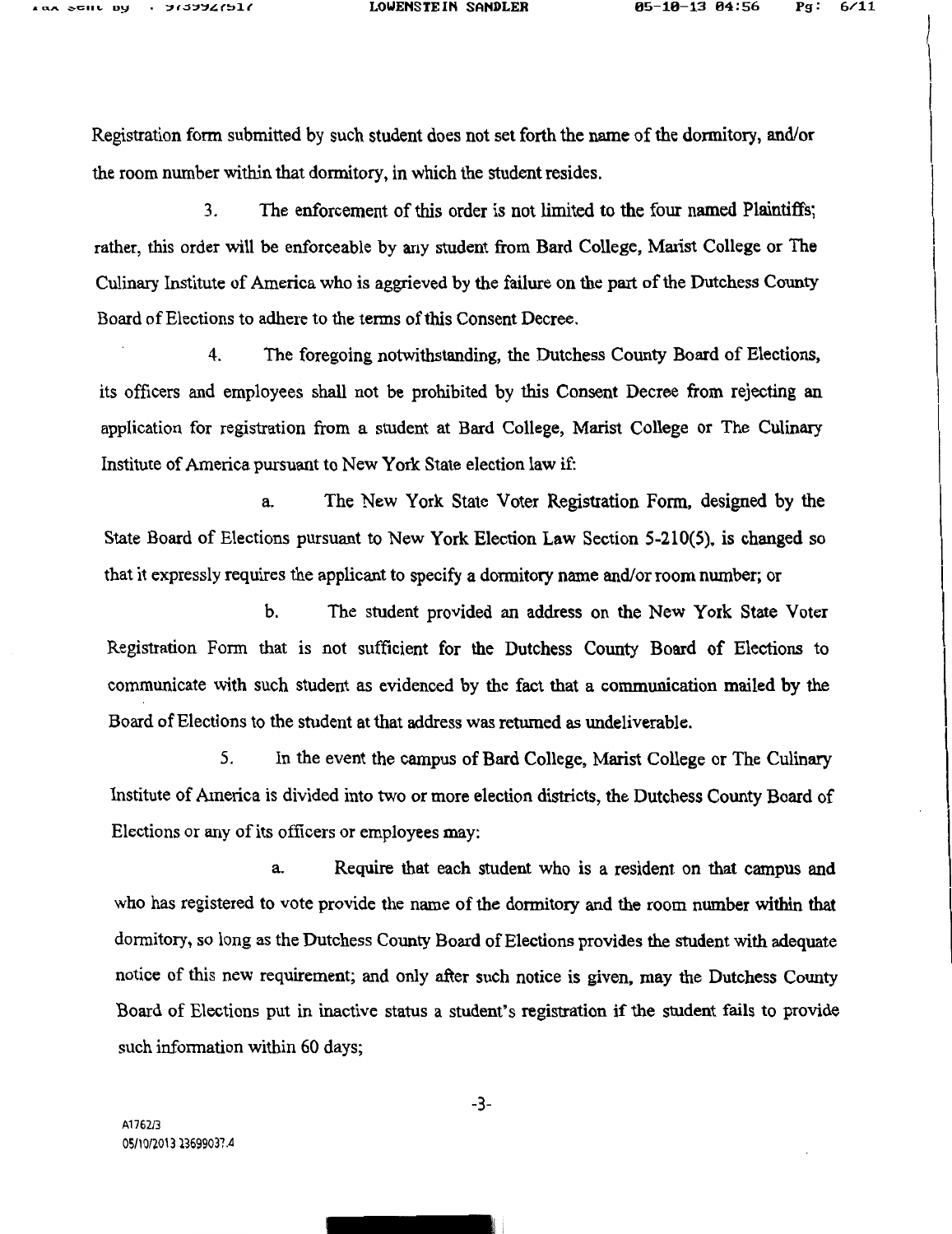\

Registration form submitted by such student does not set forth the name of the dormitory, and/or the room number within that dormitory, in which the student resides.

3. The enforcement of this order is not limited to the four named Plaintiffs; rather, this order will be enforceable by any student from Bard College, Marist College or The Culinary Institute of America who is aggrieved by the failure on the part of the Dutchess County Board of Elections to adhere to the terms of this Consent Decree.

4. The foregoing notwithstanding, the Dutchess County Board of Elections, its officers and employees shall not be prohibited by this Consent Decree from rejecting an application for registration from a student at Bard College, Marist College or The Culinary Institute of America pursuant to New York State election law if:

a. The New York State Voter Registration Form, designed by the State Board of Elections pursuant to New York Election Law Section 5-210(5), is changed so that it expressly requires the applicant to specify a dormitory name and/or room nwnber; or

b. The student provided an address on the New York State Voter Registration Form that is not sufficient for the Dutchess County Board of Elections to communicate with such student as evidenced by the fact that a communication mailed by the Board of Elections to the student at that address was returned as undeliverable.

5. In the event the campus of Bard College, Marist College or The Culinary Institute of America is divided into two or more election districts, the Dutchess County Board of Elections or any of its officers or employees may:

a. Require that each student who is a resident on that campus and who has registered to vote provide the name of the dormitory and the room number within that dormitory, so long as the Dutchess County Board of Elections provides the student with adequate notice of this new requirement; and only after such notice is given, may the Dutchess County Board of Elections put in inactive status a student's registration if the student fails to provide such information within 60 days;

-3-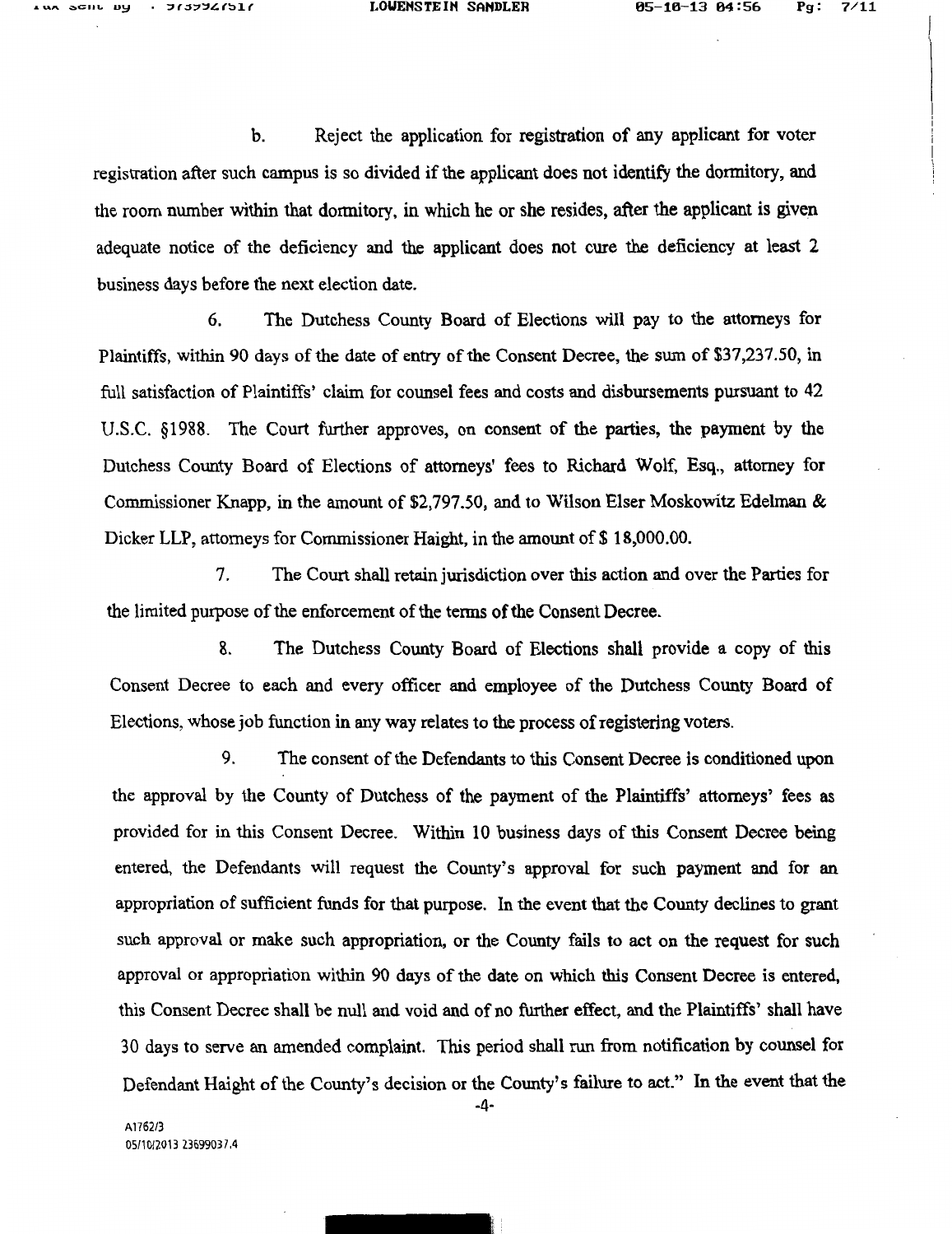b. Reject the application for registration of any applicant for voter registration after such campus is so divided if the applicant does not identify the dormitory, and the room number within that donnitory, in which he or she resides, after the applicant is given adequate notice of the deficiency and the applicant does not cure the deficiency at least 2 business days before the next election date.

6. The Dutchess County Board of Elections will pay to the attorneys for Plaintiffs, within 90 days of the date of entry of the Consent Decree, the sum of \$37,237.50, in full satisfaction of Plaintiffs' claim for counsel fees and costs and disbursements pursuant to 42 U.S.C. §1988. The Court further approves, on consent of the parties, the payment by the Dutchess County Board of Elections of attorneys' fees to Richard Wolf, Esq., attorney for Commissioner Knapp, in the amount of \$2,797 .50, and to Wilson Elser Moskowitz Edelman & Dicker LLP, attorneys for Commissioner Haight, in the amount of \$18,000.00.

7. The Court shall retain jurisdiction over this action and over the Parties for the limited purpose of the enforcement of the terms of the Consent Decree.

8. The Dutchess County Board of Elections shall provide a copy of this Consent Decree to each and every officer and employee of the Dutchess County Board of Elections, whose job function in any way relates to the process of registering voters.

9. The consent of the Defendants to this Consent Decree is conditioned upon the approval by the County of Dutchess of the payment of the Plaintiffs' attorneys' fees as provided for in this Consent Decree. Within 10 business days of this Consent Decree being entered, the Defendants will request the County's approval for such payment and for an appropriation of sufficient funds for that purpose. In the event that the County declines to grant such approval or make such appropriation, or the County fails to act on the request for such approval or appropriation within 90 days of the date on which this Consent Decree is entered, this Consent Decree shall be null and void and of no further effect, and the Plaintiffs' shall have 30 days to serve an amended complaint. This period shall run from notification by counsel for Defendant Haight of the County's decision or the County's failure to act." In the event that the

-4-

A1762/3 05/10/2013 23699037.4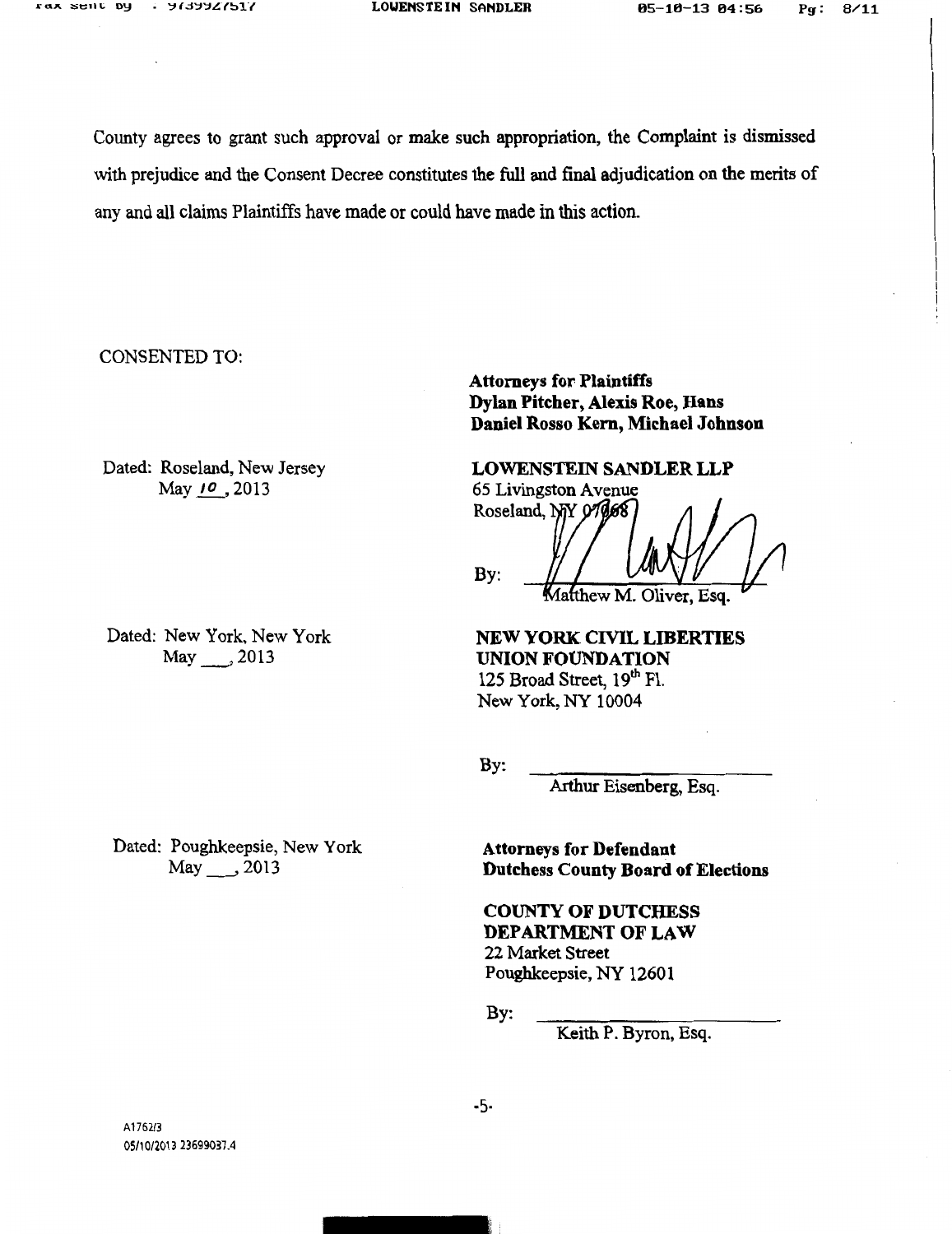County agrees to grant such approval or make such appropriation, the Complaint is dismissed with prejudice and the Consent Decree constitutes the full and final adjudication on the merits of any and all claims Plaintiffs have made or could have made in this action.

CONSENTED TO:

Dated: Roseland, New Jersey May 10, 2013

Dated: New York, New York May 2013

Attorneys for Plaintiffs Dylan Pitcher, Alexis Roe, Hans Daniel Rosso Kern, Michael Johnson

LOWENSTEIN SANDLER LLP 65 Livingston A venue Roseland, NY 07068 By: tthew M. Oliver, Esq.

NEW YORK CIVIL LIBERTIES UNION FOUNDATION 125 Broad Street, 19th Fl. New York, NY 10004

By:

Arthur Eisenberg, Esq.

Dated: Poughkeepsie, New York May\_\_, 2013

Attorneys for Defendant Dutchess County Board of Elections

## COUNTY OF DUTCHESS DEPARTMENT OF LAW 22 Market Street

Poughkeepsie, NY 12601

By:

Keith P. Byron, Esq.

-5-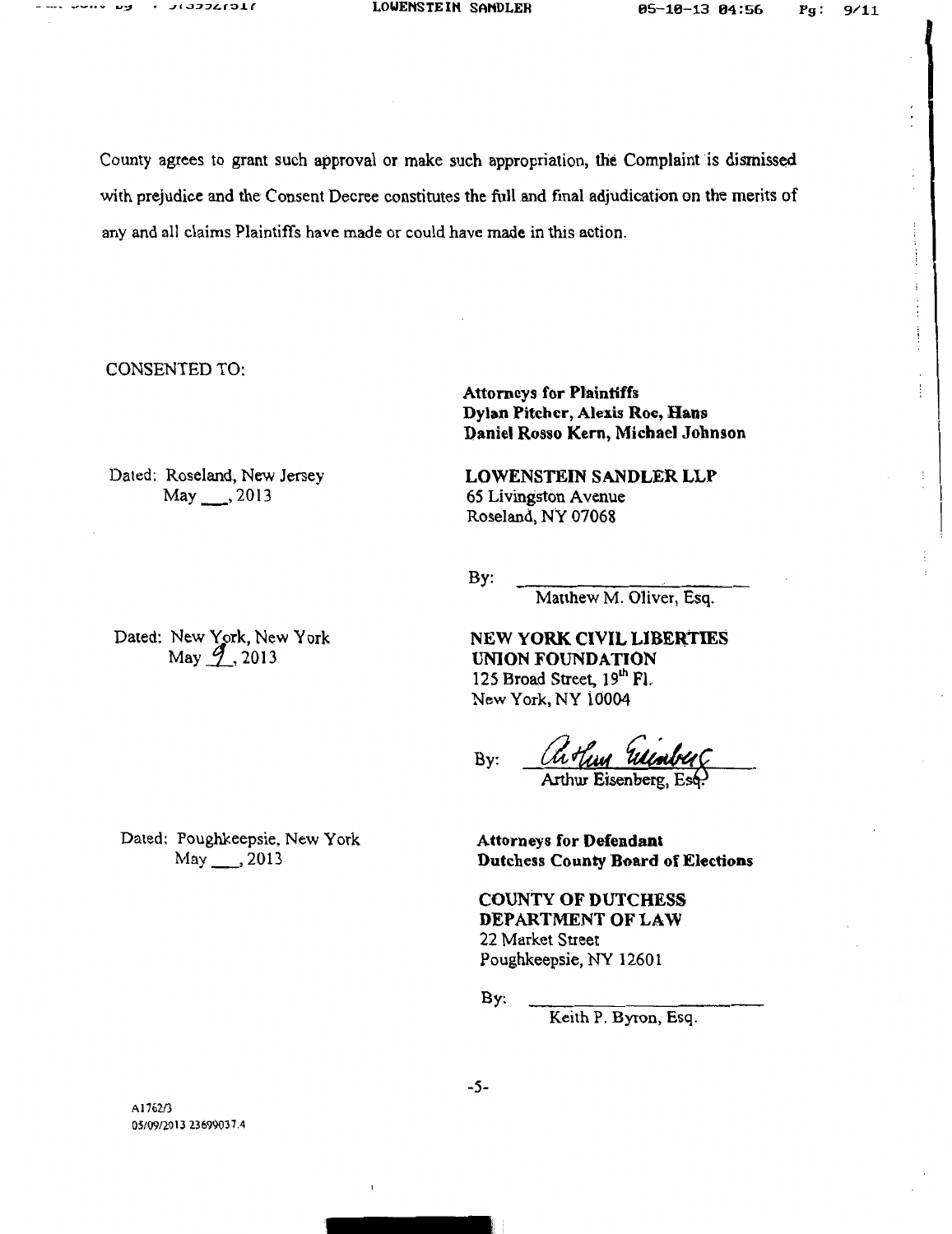County agrees to grant such approval or make such appropriation, the Complaint is dismissed with prejudice and the Consent Decree constitutes the full and final adjudication on the merits of any and all claims Plaintiffs have made or could have made in this action.

CONSENTED TO:

Dated: Roseland, New Jersey May \_\_\_ , 2013

Dated: New York, New York May <u>9,</u> 2013

Dated: Poughkeepsie, New York May\_,2013

Attorneys for Plaintiffs Dylan Pitcher, Alexis Roe, Hans Daniel Rosso Kern, Michael Johnson

LOWENSTEIN SANDLER LLP 65 Livingston A venue Roseland, NY 07068

By:

Matthew M. Oliver, Esq.

NEW YORK CIVIL LIBERTIES UNION FOUNDATION 125 Broad Street, 19th Fl. New York, NY i0004

By: Arthur Eisenberg, Esé

Attorneys for Defendant Dutchess County Board of Elections

COUNTY OF DUTCHESS DEPARTMENT OF LAW 22 Market Street Poughkeepsie, NY 1260 1

By:

Keith P. Byron, Esq.

Al76213 05/09/2013 23699037.4 -5-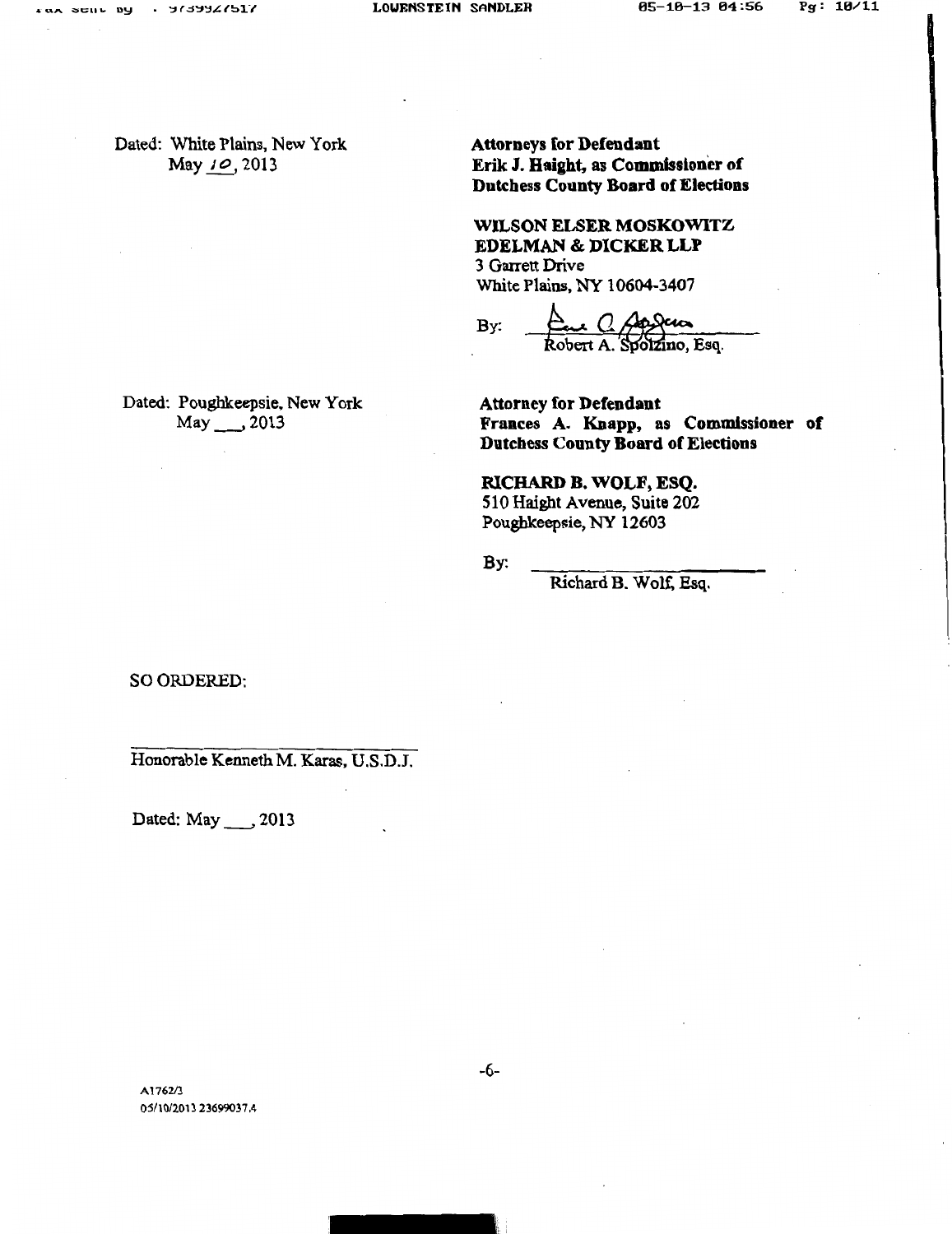Lax Scill Dy

Dated: White Plains, New York May 10, 2013

Attorneys for Defendant Erik J. Haight, as Commissioner of Dutchess County Board of Eledions

WILSON ELSER MOSKOWITZ EDELMAN & DICKER LLP 3 Garrett Drive White Plains, NY 10604-3407

By:  $\frac{\Delta}{\text{Robert A. Spolzino, Esq.}}$ 

Dated: Poughkeepsie, New York May \_\_\_, 2013

Attorney for Defendant Frances A. Knapp, as Commissioner of Dutchess County Board of Elections

RICHARD B. WOLF, ESQ. 510 Haight Avenue, Suite 202 Poughkeepsie, NY 12603

By:

Richard B. Wolf. Esq.

SO ORDERED:

Honorable Kenneth M. Karas, U.S.D.J.

Dated: May \_\_\_, 2013

Al762/3 05/10/2013 23699037.4 -6-